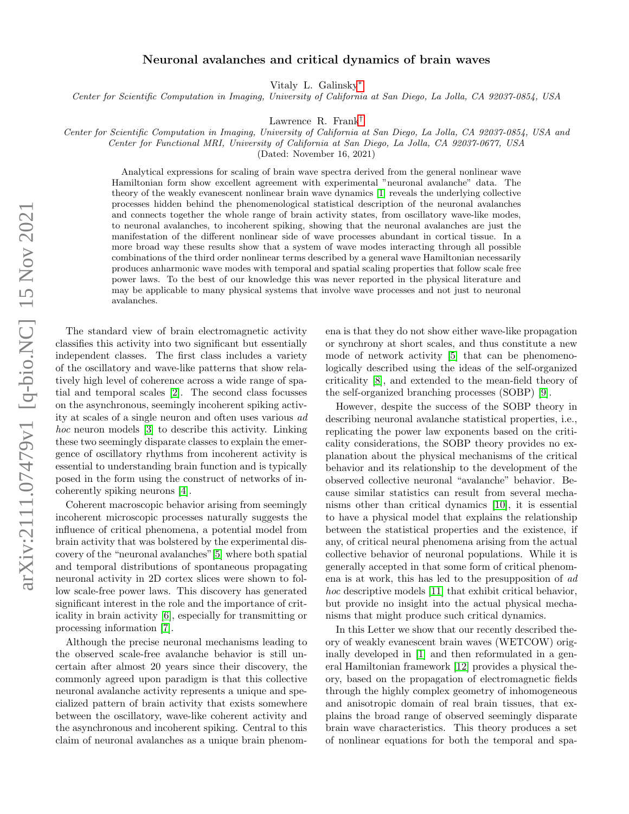## Neuronal avalanches and critical dynamics of brain waves

Vitaly L. Galinsky[∗](#page-5-0)

Center for Scientific Computation in Imaging, University of California at San Diego, La Jolla, CA 92037-0854, USA

Lawrence R. Frank[†](#page-5-1)

Center for Scientific Computation in Imaging, University of California at San Diego, La Jolla, CA 92037-0854, USA and

Center for Functional MRI, University of California at San Diego, La Jolla, CA 92037-0677, USA

(Dated: November 16, 2021)

Analytical expressions for scaling of brain wave spectra derived from the general nonlinear wave Hamiltonian form show excellent agreement with experimental "neuronal avalanche" data. The theory of the weakly evanescent nonlinear brain wave dynamics [\[1\]](#page-5-2) reveals the underlying collective processes hidden behind the phenomenological statistical description of the neuronal avalanches and connects together the whole range of brain activity states, from oscillatory wave-like modes, to neuronal avalanches, to incoherent spiking, showing that the neuronal avalanches are just the manifestation of the different nonlinear side of wave processes abundant in cortical tissue. In a more broad way these results show that a system of wave modes interacting through all possible combinations of the third order nonlinear terms described by a general wave Hamiltonian necessarily produces anharmonic wave modes with temporal and spatial scaling properties that follow scale free power laws. To the best of our knowledge this was never reported in the physical literature and may be applicable to many physical systems that involve wave processes and not just to neuronal avalanches.

The standard view of brain electromagnetic activity classifies this activity into two significant but essentially independent classes. The first class includes a variety of the oscillatory and wave-like patterns that show relatively high level of coherence across a wide range of spatial and temporal scales [\[2\]](#page-5-3). The second class focusses on the asynchronous, seemingly incoherent spiking activity at scales of a single neuron and often uses various ad hoc neuron models [\[3\]](#page-5-4) to describe this activity. Linking these two seemingly disparate classes to explain the emergence of oscillatory rhythms from incoherent activity is essential to understanding brain function and is typically posed in the form using the construct of networks of incoherently spiking neurons [\[4\]](#page-5-5).

Coherent macroscopic behavior arising from seemingly incoherent microscopic processes naturally suggests the influence of critical phenomena, a potential model from brain activity that was bolstered by the experimental discovery of the "neuronal avalanches"[\[5\]](#page-5-6) where both spatial and temporal distributions of spontaneous propagating neuronal activity in 2D cortex slices were shown to follow scale-free power laws. This discovery has generated significant interest in the role and the importance of criticality in brain activity [\[6\]](#page-5-7), especially for transmitting or processing information [\[7\]](#page-5-8).

Although the precise neuronal mechanisms leading to the observed scale-free avalanche behavior is still uncertain after almost 20 years since their discovery, the commonly agreed upon paradigm is that this collective neuronal avalanche activity represents a unique and specialized pattern of brain activity that exists somewhere between the oscillatory, wave-like coherent activity and the asynchronous and incoherent spiking. Central to this claim of neuronal avalanches as a unique brain phenomena is that they do not show either wave-like propagation or synchrony at short scales, and thus constitute a new mode of network activity [\[5\]](#page-5-6) that can be phenomenologically described using the ideas of the self-organized criticality [\[8\]](#page-5-9), and extended to the mean-field theory of the self-organized branching processes (SOBP) [\[9\]](#page-5-10).

However, despite the success of the SOBP theory in describing neuronal avalanche statistical properties, i.e., replicating the power law exponents based on the criticality considerations, the SOBP theory provides no explanation about the physical mechanisms of the critical behavior and its relationship to the development of the observed collective neuronal "avalanche" behavior. Because similar statistics can result from several mechanisms other than critical dynamics [\[10\]](#page-5-11), it is essential to have a physical model that explains the relationship between the statistical properties and the existence, if any, of critical neural phenomena arising from the actual collective behavior of neuronal populations. While it is generally accepted in that some form of critical phenomena is at work, this has led to the presupposition of ad hoc descriptive models [\[11\]](#page-5-12) that exhibit critical behavior, but provide no insight into the actual physical mechanisms that might produce such critical dynamics.

In this Letter we show that our recently described theory of weakly evanescent brain waves (WETCOW) originally developed in [\[1\]](#page-5-2) and then reformulated in a general Hamiltonian framework [\[12\]](#page-5-13) provides a physical theory, based on the propagation of electromagnetic fields through the highly complex geometry of inhomogeneous and anisotropic domain of real brain tissues, that explains the broad range of observed seemingly disparate brain wave characteristics. This theory produces a set of nonlinear equations for both the temporal and spa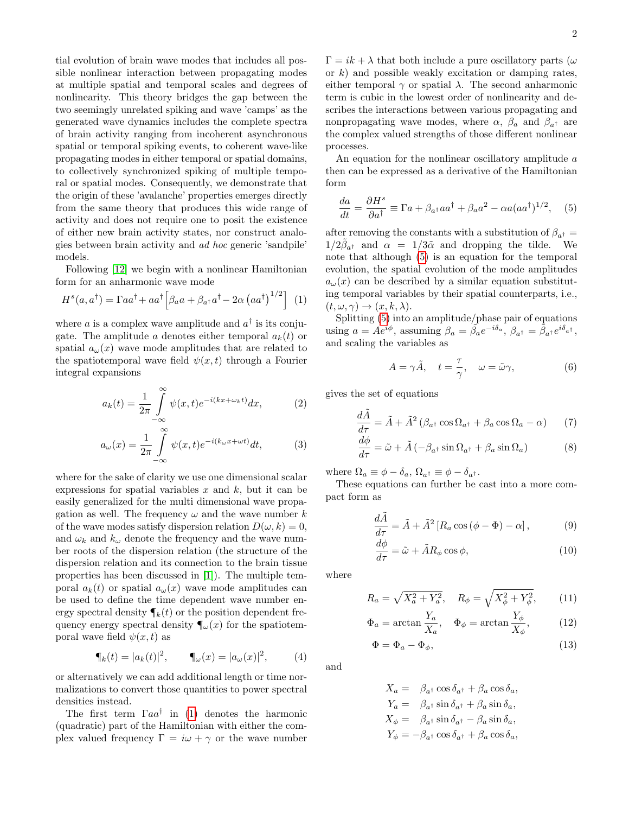tial evolution of brain wave modes that includes all possible nonlinear interaction between propagating modes at multiple spatial and temporal scales and degrees of nonlinearity. This theory bridges the gap between the two seemingly unrelated spiking and wave 'camps' as the generated wave dynamics includes the complete spectra of brain activity ranging from incoherent asynchronous spatial or temporal spiking events, to coherent wave-like propagating modes in either temporal or spatial domains, to collectively synchronized spiking of multiple temporal or spatial modes. Consequently, we demonstrate that the origin of these 'avalanche' properties emerges directly from the same theory that produces this wide range of activity and does not require one to posit the existence of either new brain activity states, nor construct analogies between brain activity and ad hoc generic 'sandpile' models.

Following [\[12\]](#page-5-13) we begin with a nonlinear Hamiltonian form for an anharmonic wave mode

$$
H^{s}(a, a^{\dagger}) = \Gamma a a^{\dagger} + a a^{\dagger} \left[ \beta_{a} a + \beta_{a^{\dagger}} a^{\dagger} - 2 \alpha \left( a a^{\dagger} \right)^{1/2} \right] (1)
$$

where a is a complex wave amplitude and  $a^{\dagger}$  is its conjugate. The amplitude a denotes either temporal  $a_k(t)$  or spatial  $a_{\omega}(x)$  wave mode amplitudes that are related to the spatiotemporal wave field  $\psi(x, t)$  through a Fourier integral expansions

$$
a_k(t) = \frac{1}{2\pi} \int_{-\infty}^{\infty} \psi(x, t) e^{-i(kx + \omega_k t)} dx, \tag{2}
$$

$$
a_{\omega}(x) = \frac{1}{2\pi} \int_{-\infty}^{\infty} \psi(x,t)e^{-i(k_{\omega}x + \omega t)}dt,
$$
 (3)

where for the sake of clarity we use one dimensional scalar expressions for spatial variables  $x$  and  $k$ , but it can be easily generalized for the multi dimensional wave propagation as well. The frequency  $\omega$  and the wave number k of the wave modes satisfy dispersion relation  $D(\omega, k) = 0$ , and  $\omega_k$  and  $k_\omega$  denote the frequency and the wave number roots of the dispersion relation (the structure of the dispersion relation and its connection to the brain tissue properties has been discussed in [\[1\]](#page-5-2)). The multiple temporal  $a_k(t)$  or spatial  $a_{\omega}(x)$  wave mode amplitudes can be used to define the time dependent wave number energy spectral density  $\P_k(t)$  or the position dependent frequency energy spectral density  $\P_{\omega}(x)$  for the spatiotemporal wave field  $\psi(x, t)$  as

$$
\P_k(t) = |a_k(t)|^2
$$
,  $\P_\omega(x) = |a_\omega(x)|^2$ , (4)

or alternatively we can add additional length or time normalizations to convert those quantities to power spectral densities instead.

The first term  $\Gamma a a^{\dagger}$  in [\(1\)](#page-1-0) denotes the harmonic (quadratic) part of the Hamiltonian with either the complex valued frequency  $\Gamma = i\omega + \gamma$  or the wave number  $\Gamma = i k + \lambda$  that both include a pure oscillatory parts ( $\omega$ ) or  $k$ ) and possible weakly excitation or damping rates, either temporal  $\gamma$  or spatial  $\lambda$ . The second anharmonic term is cubic in the lowest order of nonlinearity and describes the interactions between various propagating and nonpropagating wave modes, where  $\alpha$ ,  $\beta_a$  and  $\beta_{a\dagger}$  are the complex valued strengths of those different nonlinear processes.

An equation for the nonlinear oscillatory amplitude a then can be expressed as a derivative of the Hamiltonian form

<span id="page-1-1"></span>
$$
\frac{da}{dt} = \frac{\partial H^s}{\partial a^\dagger} \equiv \Gamma a + \beta_{a^\dagger} a a^\dagger + \beta_a a^2 - \alpha a (a a^\dagger)^{1/2}, \quad (5)
$$

after removing the constants with a substitution of  $\beta_{a^{\dagger}} =$  $1/2\tilde{\beta}_{a^{\dagger}}$  and  $\alpha = 1/3\tilde{\alpha}$  and dropping the tilde. We note that although [\(5\)](#page-1-1) is an equation for the temporal evolution, the spatial evolution of the mode amplitudes  $a_{\omega}(x)$  can be described by a similar equation substituting temporal variables by their spatial counterparts, i.e.,  $(t, \omega, \gamma) \rightarrow (x, k, \lambda).$ 

<span id="page-1-0"></span>Splitting [\(5\)](#page-1-1) into an amplitude/phase pair of equations using  $a = Ae^{i\phi}$ , assuming  $\beta_a = \hat{\beta_a}e^{-i\delta_a}$ ,  $\beta_{a^{\dagger}} = \hat{\beta}_{a^{\dagger}}e^{i\delta_{a^{\dagger}}}$ , and scaling the variables as

<span id="page-1-6"></span><span id="page-1-5"></span><span id="page-1-4"></span>
$$
A = \gamma \tilde{A}, \quad t = \frac{\tau}{\gamma}, \quad \omega = \tilde{\omega}\gamma,
$$
 (6)

gives the set of equations

$$
\frac{d\tilde{A}}{d\tau} = \tilde{A} + \tilde{A}^2 \left( \beta_{a^\dagger} \cos \Omega_{a^\dagger} + \beta_a \cos \Omega_a - \alpha \right) \tag{7}
$$

$$
\frac{d\phi}{d\tau} = \tilde{\omega} + \tilde{A} \left( -\beta_{a^{\dagger}} \sin \Omega_{a^{\dagger}} + \beta_a \sin \Omega_a \right) \tag{8}
$$

where  $\Omega_a \equiv \phi - \delta_a$ ,  $\Omega_{a^{\dagger}} \equiv \phi - \delta_{a^{\dagger}}$ .

These equations can further be cast into a more compact form as

<span id="page-1-2"></span>
$$
\frac{d\tilde{A}}{d\tau} = \tilde{A} + \tilde{A}^2 \left[ R_a \cos \left( \phi - \Phi \right) - \alpha \right],\tag{9}
$$

<span id="page-1-3"></span>
$$
\frac{d\phi}{d\tau} = \tilde{\omega} + \tilde{A}R_{\phi}\cos\phi,\tag{10}
$$

where

$$
R_a = \sqrt{X_a^2 + Y_a^2}, \quad R_{\phi} = \sqrt{X_{\phi}^2 + Y_{\phi}^2}, \quad (11)
$$

$$
\Phi_a = \arctan\frac{Y_a}{X_a}, \quad \Phi_\phi = \arctan\frac{Y_\phi}{X_\phi},\tag{12}
$$

$$
\Phi = \Phi_a - \Phi_\phi,\tag{13}
$$

and

 $X_a = \beta_{a^{\dagger}} \cos \delta_{a^{\dagger}} + \beta_a \cos \delta_a,$  $Y_a = \beta_{a} \sin \delta_{a} + \beta_a \sin \delta_a,$  $X_{\phi} = \beta_{a^{\dagger}} \sin \delta_{a^{\dagger}} - \beta_a \sin \delta_a,$  $Y_{\phi} = -\beta_{a^{\dagger}} \cos \delta_{a^{\dagger}} + \beta_a \cos \delta_a,$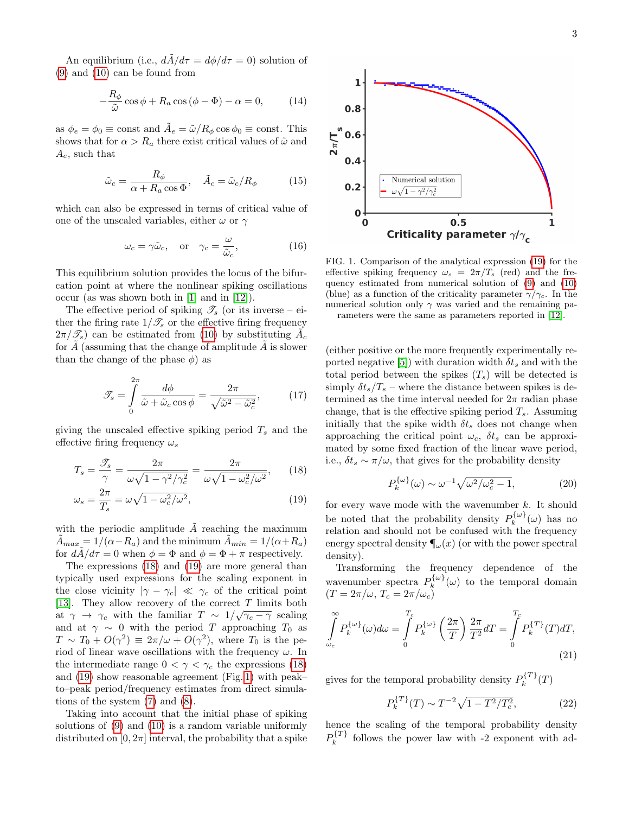An equilibrium (i.e.,  $d\tilde{A}/d\tau = d\phi/d\tau = 0$ ) solution of [\(9\)](#page-1-2) and [\(10\)](#page-1-3) can be found from

$$
-\frac{R_{\phi}}{\tilde{\omega}}\cos\phi + R_{a}\cos\left(\phi - \Phi\right) - \alpha = 0, \qquad (14)
$$

as  $\phi_e = \phi_0 \equiv \text{const}$  and  $\tilde{A}_e = \tilde{\omega}/R_\phi \cos \phi_0 \equiv \text{const.}$  This shows that for  $\alpha > R_a$  there exist critical values of  $\tilde{\omega}$  and  $A_e$ , such that

$$
\tilde{\omega}_c = \frac{R_{\phi}}{\alpha + R_a \cos \Phi}, \quad \tilde{A}_c = \tilde{\omega}_c / R_{\phi} \tag{15}
$$

which can also be expressed in terms of critical value of one of the unscaled variables, either  $\omega$  or  $\gamma$ 

$$
\omega_c = \gamma \tilde{\omega}_c
$$
, or  $\gamma_c = \frac{\omega}{\tilde{\omega}_c}$ , (16)

This equilibrium solution provides the locus of the bifurcation point at where the nonlinear spiking oscillations occur (as was shown both in [\[1\]](#page-5-2) and in [\[12\]](#page-5-13)).

The effective period of spiking  $\mathscr{T}_s$  (or its inverse – either the firing rate  $1/\mathcal{T}_s$  or the effective firing frequency  $2\pi/\mathscr{T}_s$  can be estimated from [\(10\)](#page-1-3) by substituting  $\tilde{A_c}$ for  $A$  (assuming that the change of amplitude  $A$  is slower than the change of the phase  $\phi$ ) as

$$
\mathcal{F}_s = \int\limits_0^{2\pi} \frac{d\phi}{\tilde{\omega} + \tilde{\omega}_c \cos \phi} = \frac{2\pi}{\sqrt{\tilde{\omega}^2 - \tilde{\omega}_c^2}},\tag{17}
$$

giving the unscaled effective spiking period  $T_s$  and the effective firing frequency  $\omega_s$ 

$$
T_s = \frac{\mathcal{I}_s}{\gamma} = \frac{2\pi}{\omega\sqrt{1 - \gamma^2/\gamma_c^2}} = \frac{2\pi}{\omega\sqrt{1 - \omega_c^2/\omega^2}},\qquad(18)
$$

$$
\omega_s = \frac{2\pi}{T_s} = \omega \sqrt{1 - \omega_c^2/\omega^2},\tag{19}
$$

with the periodic amplitude  $\ddot{A}$  reaching the maximum  $\tilde{A}_{max} = 1/(\alpha - R_a)$  and the minimum  $\tilde{A}_{min} = 1/(\alpha + R_a)$ for  $d\tilde{A}/d\tau = 0$  when  $\phi = \Phi$  and  $\phi = \Phi + \pi$  respectively.

The expressions [\(18\)](#page-2-0) and [\(19\)](#page-2-1) are more general than typically used expressions for the scaling exponent in the close vicinity  $|\gamma - \gamma_c| \ll \gamma_c$  of the critical point [\[13\]](#page-5-14). They allow recovery of the correct  $T$  limits both at  $\gamma \to \gamma_c$  with the familiar  $T \sim 1/\sqrt{\gamma_c - \gamma}$  scaling and at  $\gamma \sim 0$  with the period T approaching T<sub>0</sub> as  $T \sim T_0 + O(\gamma^2) \equiv 2\pi/\omega + O(\gamma^2)$ , where  $T_0$  is the period of linear wave oscillations with the frequency  $\omega$ . In the intermediate range  $0 < \gamma < \gamma_c$  the expressions [\(18\)](#page-2-0) and [\(19\)](#page-2-1) show reasonable agreement (Fig. [1\)](#page-2-2) with peak– to–peak period/frequency estimates from direct simulations of the system [\(7\)](#page-1-4) and [\(8\)](#page-1-5).

Taking into account that the initial phase of spiking solutions of [\(9\)](#page-1-2) and [\(10\)](#page-1-3) is a random variable uniformly distributed on  $[0, 2\pi]$  interval, the probability that a spike

<span id="page-2-2"></span>

FIG. 1. Comparison of the analytical expression [\(19\)](#page-2-1) for the effective spiking frequency  $\omega_s = 2\pi/T_s$  (red) and the frequency estimated from numerical solution of [\(9\)](#page-1-2) and [\(10\)](#page-1-3) (blue) as a function of the criticality parameter  $\gamma/\gamma_c$ . In the numerical solution only  $\gamma$  was varied and the remaining parameters were the same as parameters reported in [\[12\]](#page-5-13).

(either positive or the more frequently experimentally re-ported negative [\[5\]](#page-5-6)) with duration width  $\delta t_s$  and with the total period between the spikes  $(T_s)$  will be detected is simply  $\delta t_s/T_s$  – where the distance between spikes is determined as the time interval needed for  $2\pi$  radian phase change, that is the effective spiking period  $T_s$ . Assuming initially that the spike width  $\delta t_s$  does not change when approaching the critical point  $\omega_c$ ,  $\delta t_s$  can be approximated by some fixed fraction of the linear wave period, i.e.,  $\delta t_s \sim \pi/\omega$ , that gives for the probability density

<span id="page-2-3"></span>
$$
P_k^{\{\omega\}}(\omega) \sim \omega^{-1} \sqrt{\omega^2/\omega_c^2 - 1},\tag{20}
$$

<span id="page-2-1"></span><span id="page-2-0"></span>for every wave mode with the wavenumber  $k$ . It should be noted that the probability density  $P_k^{\{\omega\}}$  $\int_k^{\mathcal{U}\cup f}(\omega)$  has no relation and should not be confused with the frequency energy spectral density  $\P_{\omega}(x)$  (or with the power spectral density).

Transforming the frequency dependence of the wavenumber spectra  $P_k^{\{\omega\}}$  $\hat{k}^{\omega}(\omega)$  to the temporal domain  $(T = 2\pi/\omega, T_c = 2\pi/\omega_c)$ 

$$
\int_{\omega_c}^{\infty} P_k^{\{\omega\}}(\omega) d\omega = \int_0^{T_c} P_k^{\{\omega\}}\left(\frac{2\pi}{T}\right) \frac{2\pi}{T^2} dT = \int_0^{T_c} P_k^{\{T\}}(T) dT,
$$
\n(21)

gives for the temporal probability density  $P_k^{\{T\}}$  $\mathcal{C}_k^{(1)}(T)$ 

<span id="page-2-4"></span>
$$
P_k^{\{T\}}(T) \sim T^{-2} \sqrt{1 - T^2 / T_c^2},\tag{22}
$$

hence the scaling of the temporal probability density  $P^{\{T\}}_k$  $\frac{k^{1}}{k}$  follows the power law with -2 exponent with ad-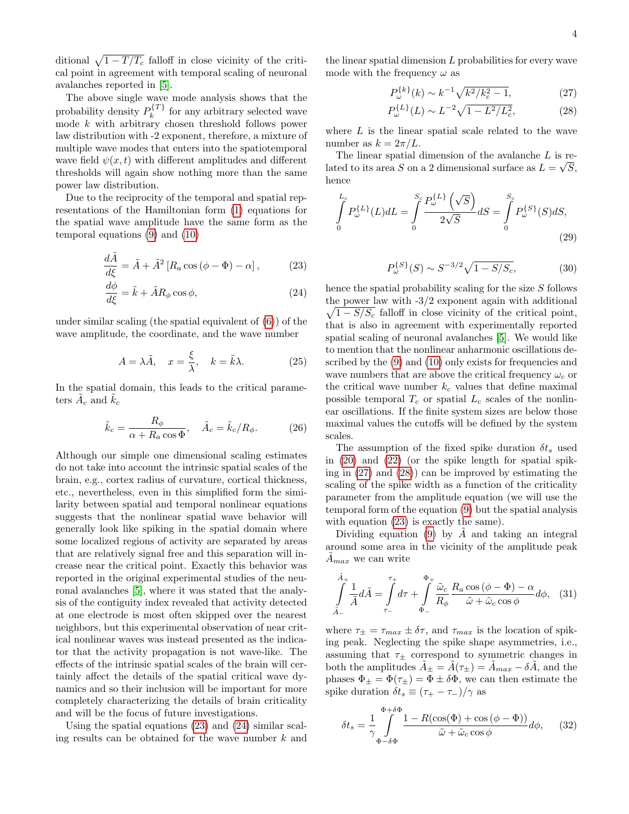ditional  $\sqrt{1 - T / T_c}$  falloff in close vicinity of the critical point in agreement with temporal scaling of neuronal avalanches reported in [\[5\]](#page-5-6).

The above single wave mode analysis shows that the probability density  $P_k^{\{T\}}$  $\kappa^{(1)}$  for any arbitrary selected wave mode k with arbitrary chosen threshold follows power law distribution with -2 exponent, therefore, a mixture of multiple wave modes that enters into the spatiotemporal wave field  $\psi(x, t)$  with different amplitudes and different thresholds will again show nothing more than the same power law distribution.

Due to the reciprocity of the temporal and spatial representations of the Hamiltonian form [\(1\)](#page-1-0) equations for the spatial wave amplitude have the same form as the temporal equations [\(9\)](#page-1-2) and [\(10\)](#page-1-3)

$$
\frac{d\tilde{A}}{d\xi} = \tilde{A} + \tilde{A}^2 \left[ R_a \cos \left( \phi - \Phi \right) - \alpha \right],\tag{23}
$$

$$
\frac{d\phi}{d\xi} = \tilde{k} + \tilde{A}R_{\phi}\cos\phi,\tag{24}
$$

under similar scaling (the spatial equivalent of [\(6\)](#page-1-6)) of the wave amplitude, the coordinate, and the wave number

$$
A = \lambda \tilde{A}, \quad x = \frac{\xi}{\lambda}, \quad k = \tilde{k}\lambda.
$$
 (25)

In the spatial domain, this leads to the critical parameters  $\tilde{A}_c$  and  $\tilde{k}_c$ 

$$
\tilde{k}_c = \frac{R_{\phi}}{\alpha + R_a \cos \Phi}, \quad \tilde{A}_c = \tilde{k}_c / R_{\phi}.
$$
 (26)

Although our simple one dimensional scaling estimates do not take into account the intrinsic spatial scales of the brain, e.g., cortex radius of curvature, cortical thickness, etc., nevertheless, even in this simplified form the similarity between spatial and temporal nonlinear equations suggests that the nonlinear spatial wave behavior will generally look like spiking in the spatial domain where some localized regions of activity are separated by areas that are relatively signal free and this separation will increase near the critical point. Exactly this behavior was reported in the original experimental studies of the neuronal avalanches [\[5\]](#page-5-6), where it was stated that the analysis of the contiguity index revealed that activity detected at one electrode is most often skipped over the nearest neighbors, but this experimental observation of near critical nonlinear waves was instead presented as the indicator that the activity propagation is not wave-like. The effects of the intrinsic spatial scales of the brain will certainly affect the details of the spatial critical wave dynamics and so their inclusion will be important for more completely characterizing the details of brain criticality and will be the focus of future investigations.

Using the spatial equations [\(23\)](#page-3-0) and [\(24\)](#page-3-1) similar scaling results can be obtained for the wave number  $k$  and the linear spatial dimension  $L$  probabilities for every wave mode with the frequency  $\omega$  as

<span id="page-3-3"></span><span id="page-3-2"></span>
$$
P_{\omega}^{\{k\}}(k) \sim k^{-1} \sqrt{k^2 / k_c^2 - 1},\tag{27}
$$

$$
P_{\omega}^{\{L\}}(L) \sim L^{-2} \sqrt{1 - L^2 / L_c^2},\tag{28}
$$

where  $L$  is the linear spatial scale related to the wave number as  $k = 2\pi/L$ .

The linear spatial dimension of the avalanche  $L$  is related to its area S on a 2 dimensional surface as  $L = \sqrt{S}$ , hence

$$
\int_{0}^{L_c} P_{\omega}^{\{L\}}(L) dL = \int_{0}^{S_c} \frac{P_{\omega}^{\{L\}}(\sqrt{S})}{2\sqrt{S}} dS = \int_{0}^{S_c} P_{\omega}^{\{S\}}(S) dS,
$$
\n(29)

$$
P_{\omega}^{\{S\}}(S) \sim S^{-3/2}\sqrt{1 - S/S_c},\tag{30}
$$

<span id="page-3-1"></span><span id="page-3-0"></span>hence the spatial probability scaling for the size S follows the power law with  $-3/2$  exponent again with additional  $\sqrt{1 - S/S_c}$  falloff in close vicinity of the critical point, that is also in agreement with experimentally reported spatial scaling of neuronal avalanches [\[5\]](#page-5-6). We would like to mention that the nonlinear anharmonic oscillations described by the  $(9)$  and  $(10)$  only exists for frequencies and wave numbers that are above the critical frequency  $\omega_c$  or the critical wave number  $k_c$  values that define maximal possible temporal  $T_c$  or spatial  $L_c$  scales of the nonlinear oscillations. If the finite system sizes are below those maximal values the cutoffs will be defined by the system scales.

The assumption of the fixed spike duration  $\delta t_s$  used in [\(20\)](#page-2-3) and [\(22\)](#page-2-4) (or the spike length for spatial spiking in [\(27\)](#page-3-2) and [\(28\)](#page-3-3)) can be improved by estimating the scaling of the spike width as a function of the criticality parameter from the amplitude equation (we will use the temporal form of the equation [\(9\)](#page-1-2) but the spatial analysis with equation  $(23)$  is exactly the same).

Dividing equation [\(9\)](#page-1-2) by A and taking an integral around some area in the vicinity of the amplitude peak  $A_{max}$  we can write

$$
\int_{\tilde{A}_{-}}^{\tilde{A}_{+}} \frac{1}{\tilde{A}} d\tilde{A} = \int_{\tau_{-}}^{\tau_{+}} d\tau + \int_{\Phi_{-}}^{\Phi_{+}} \frac{\tilde{\omega}_{c} R_{a} \cos(\phi - \Phi) - \alpha}{\tilde{\omega} + \tilde{\omega}_{c} \cos \phi} d\phi, \quad (31)
$$

where  $\tau_{\pm} = \tau_{max} \pm \delta \tau$ , and  $\tau_{max}$  is the location of spiking peak. Neglecting the spike shape asymmetries, i.e., assuming that  $\tau_{\pm}$  correspond to symmetric changes in both the amplitudes  $\tilde{A}_{\pm} = \tilde{A}(\tau_{\pm}) = \tilde{A}_{max} - \delta \tilde{A}$ , and the phases  $\Phi_{\pm} = \Phi(\tau_{\pm}) = \Phi \pm \delta \Phi$ , we can then estimate the spike duration  $\delta t_s \equiv (\tau_+ - \tau_-)/\gamma$  as

<span id="page-3-4"></span>
$$
\delta t_s = \frac{1}{\gamma} \int_{\Phi - \delta \Phi}^{\Phi + \delta \Phi} \frac{1 - R(\cos(\Phi) + \cos(\phi - \Phi))}{\tilde{\omega} + \tilde{\omega}_c \cos \phi} d\phi, \quad (32)
$$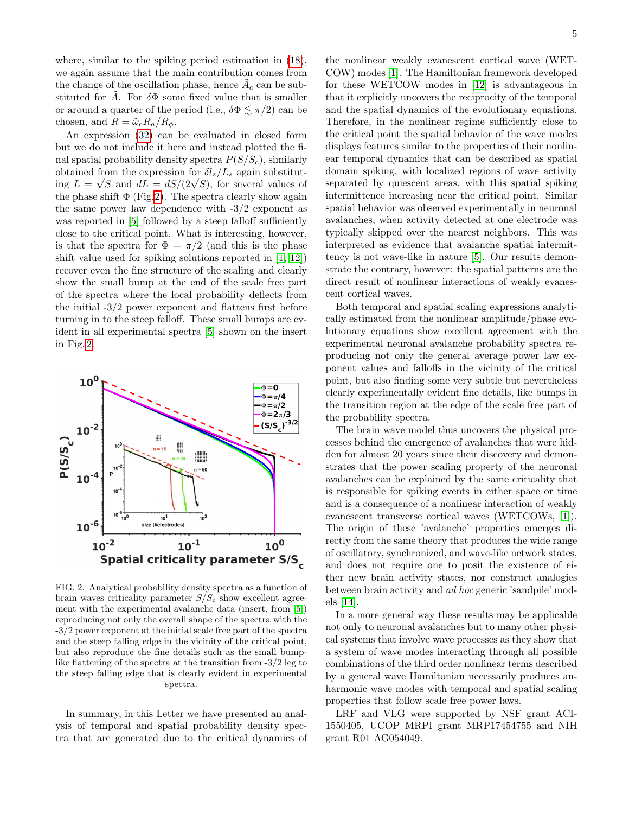where, similar to the spiking period estimation in [\(18\)](#page-2-0), we again assume that the main contribution comes from the change of the oscillation phase, hence  $\tilde{A}_c$  can be substituted for  $\tilde{A}$ . For  $\delta\Phi$  some fixed value that is smaller or around a quarter of the period (i.e.,  $\delta \Phi \leq \pi/2$ ) can be chosen, and  $R = \tilde{\omega}_c R_a / R_{\phi}$ .

An expression [\(32\)](#page-3-4) can be evaluated in closed form but we do not include it here and instead plotted the final spatial probability density spectra  $P(S/S_c)$ , similarly obtained from the expression for  $\delta l_s/L_s$  again substitutobtained from the expression for  $\partial t_s/L_s$  again substituting  $L = \sqrt{S}$  and  $dL = dS/(2\sqrt{S})$ , for several values of the phase shift  $\Phi$  (Fig[.2\)](#page-4-0). The spectra clearly show again the same power law dependence with -3/2 exponent as was reported in [\[5\]](#page-5-6) followed by a steep falloff sufficiently close to the critical point. What is interesting, however, is that the spectra for  $\Phi = \pi/2$  (and this is the phase shift value used for spiking solutions reported in [\[1,](#page-5-2) [12\]](#page-5-13)) recover even the fine structure of the scaling and clearly show the small bump at the end of the scale free part of the spectra where the local probability deflects from the initial -3/2 power exponent and flattens first before turning in to the steep falloff. These small bumps are evident in all experimental spectra [\[5\]](#page-5-6) shown on the insert in Fig. [2.](#page-4-0)

<span id="page-4-0"></span>

FIG. 2. Analytical probability density spectra as a function of brain waves criticality parameter  $S/S_c$  show excellent agreement with the experimental avalanche data (insert, from [\[5\]](#page-5-6)) reproducing not only the overall shape of the spectra with the -3/2 power exponent at the initial scale free part of the spectra and the steep falling edge in the vicinity of the critical point, but also reproduce the fine details such as the small bumplike flattening of the spectra at the transition from -3/2 leg to the steep falling edge that is clearly evident in experimental spectra.

In summary, in this Letter we have presented an analysis of temporal and spatial probability density spectra that are generated due to the critical dynamics of

the nonlinear weakly evanescent cortical wave (WET-COW) modes [\[1\]](#page-5-2). The Hamiltonian framework developed for these WETCOW modes in [\[12\]](#page-5-13) is advantageous in that it explicitly uncovers the reciprocity of the temporal and the spatial dynamics of the evolutionary equations. Therefore, in the nonlinear regime sufficiently close to the critical point the spatial behavior of the wave modes displays features similar to the properties of their nonlinear temporal dynamics that can be described as spatial domain spiking, with localized regions of wave activity separated by quiescent areas, with this spatial spiking intermittence increasing near the critical point. Similar spatial behavior was observed experimentally in neuronal avalanches, when activity detected at one electrode was typically skipped over the nearest neighbors. This was interpreted as evidence that avalanche spatial intermittency is not wave-like in nature [\[5\]](#page-5-6). Our results demonstrate the contrary, however: the spatial patterns are the direct result of nonlinear interactions of weakly evanescent cortical waves.

Both temporal and spatial scaling expressions analytically estimated from the nonlinear amplitude/phase evolutionary equations show excellent agreement with the experimental neuronal avalanche probability spectra reproducing not only the general average power law exponent values and falloffs in the vicinity of the critical point, but also finding some very subtle but nevertheless clearly experimentally evident fine details, like bumps in the transition region at the edge of the scale free part of the probability spectra.

The brain wave model thus uncovers the physical processes behind the emergence of avalanches that were hidden for almost 20 years since their discovery and demonstrates that the power scaling property of the neuronal avalanches can be explained by the same criticality that is responsible for spiking events in either space or time and is a consequence of a nonlinear interaction of weakly evanescent transverse cortical waves (WETCOWs, [\[1\]](#page-5-2)). The origin of these 'avalanche' properties emerges directly from the same theory that produces the wide range of oscillatory, synchronized, and wave-like network states, and does not require one to posit the existence of either new brain activity states, nor construct analogies between brain activity and ad hoc generic 'sandpile' models [\[14\]](#page-5-15).

In a more general way these results may be applicable not only to neuronal avalanches but to many other physical systems that involve wave processes as they show that a system of wave modes interacting through all possible combinations of the third order nonlinear terms described by a general wave Hamiltonian necessarily produces anharmonic wave modes with temporal and spatial scaling properties that follow scale free power laws.

LRF and VLG were supported by NSF grant ACI-1550405, UCOP MRPI grant MRP17454755 and NIH grant R01 AG054049.